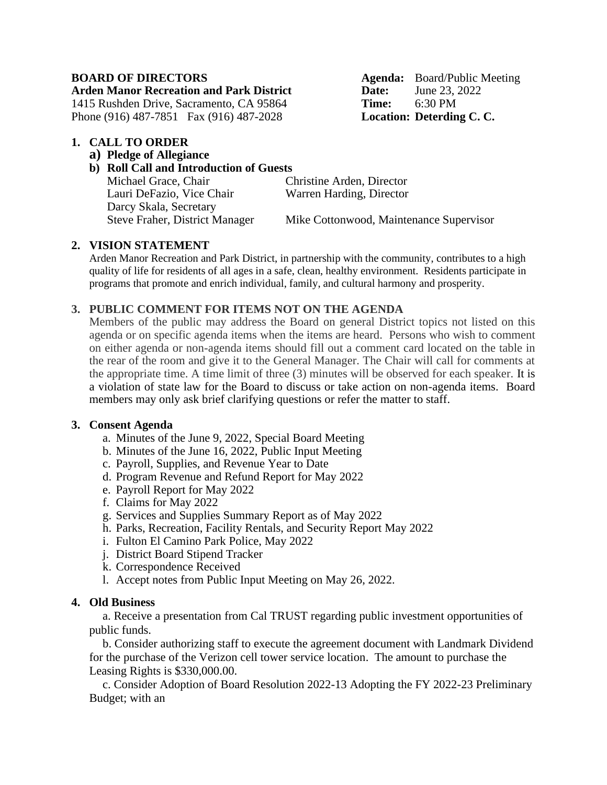**Arden Manor Recreation and Park District Date:** June 23, 2022

1415 Rushden Drive, Sacramento, CA 95864 **Time:** 6:30 PM Phone (916) 487-7851 Fax (916) 487-2028 **Location: Deterding C. C.**

#### **1. CALL TO ORDER**

**a) Pledge of Allegiance**

# **b) Roll Call and Introduction of Guests**

Michael Grace, Chair Christine Arden, Director Lauri DeFazio, Vice Chair Warren Harding, Director Darcy Skala, Secretary

**BOARD OF DIRECTORS Agenda:** Board/Public Meeting

Steve Fraher, District Manager Mike Cottonwood, Maintenance Supervisor

## **2. VISION STATEMENT**

Arden Manor Recreation and Park District, in partnership with the community, contributes to a high quality of life for residents of all ages in a safe, clean, healthy environment. Residents participate in programs that promote and enrich individual, family, and cultural harmony and prosperity.

# **3. PUBLIC COMMENT FOR ITEMS NOT ON THE AGENDA**

Members of the public may address the Board on general District topics not listed on this agenda or on specific agenda items when the items are heard. Persons who wish to comment on either agenda or non-agenda items should fill out a comment card located on the table in the rear of the room and give it to the General Manager. The Chair will call for comments at the appropriate time. A time limit of three (3) minutes will be observed for each speaker. It is a violation of state law for the Board to discuss or take action on non-agenda items. Board members may only ask brief clarifying questions or refer the matter to staff.

## **3. Consent Agenda**

- a. Minutes of the June 9, 2022, Special Board Meeting
- b. Minutes of the June 16, 2022, Public Input Meeting
- c. Payroll, Supplies, and Revenue Year to Date
- d. Program Revenue and Refund Report for May 2022
- e. Payroll Report for May 2022
- f. Claims for May 2022
- g. Services and Supplies Summary Report as of May 2022
- h. Parks, Recreation, Facility Rentals, and Security Report May 2022
- i. Fulton El Camino Park Police, May 2022
- j. District Board Stipend Tracker
- k. Correspondence Received
- l. Accept notes from Public Input Meeting on May 26, 2022.

## **4. Old Business**

a. Receive a presentation from Cal TRUST regarding public investment opportunities of public funds.

b. Consider authorizing staff to execute the agreement document with Landmark Dividend for the purchase of the Verizon cell tower service location. The amount to purchase the Leasing Rights is \$330,000.00.

c. Consider Adoption of Board Resolution 2022-13 Adopting the FY 2022-23 Preliminary Budget; with an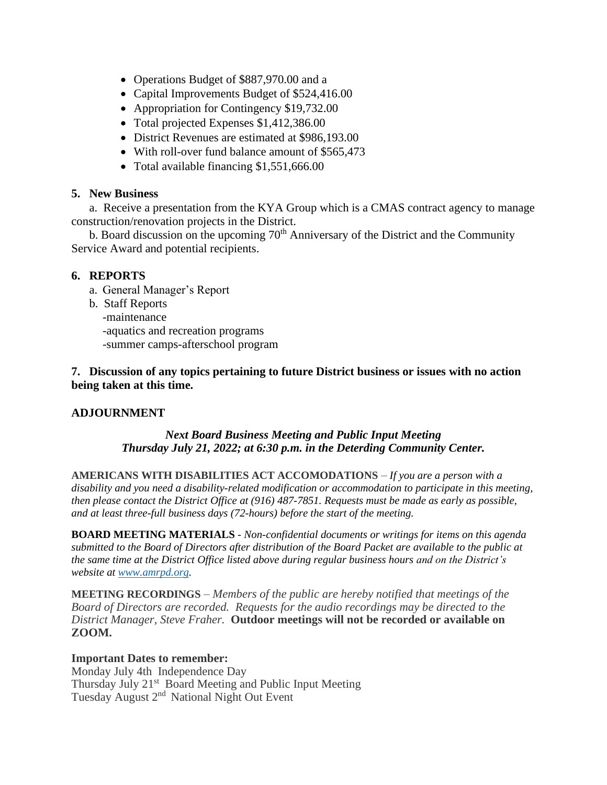- Operations Budget of \$887,970.00 and a
- Capital Improvements Budget of \$524,416.00
- Appropriation for Contingency \$19,732.00
- Total projected Expenses \$1,412,386.00
- District Revenues are estimated at \$986,193.00
- With roll-over fund balance amount of \$565,473
- Total available financing \$1,551,666.00

## **5. New Business**

a. Receive a presentation from the KYA Group which is a CMAS contract agency to manage construction/renovation projects in the District.

b. Board discussion on the upcoming  $70<sup>th</sup>$  Anniversary of the District and the Community Service Award and potential recipients.

# **6. REPORTS**

- a. General Manager's Report
- b. Staff Reports
	- -maintenance
	- -aquatics and recreation programs
	- -summer camps-afterschool program

## **7. Discussion of any topics pertaining to future District business or issues with no action being taken at this time.**

# **ADJOURNMENT**

# *Next Board Business Meeting and Public Input Meeting Thursday July 21, 2022; at 6:30 p.m. in the Deterding Community Center.*

**AMERICANS WITH DISABILITIES ACT ACCOMODATIONS** *– If you are a person with a disability and you need a disability-related modification or accommodation to participate in this meeting, then please contact the District Office at (916) 487-7851. Requests must be made as early as possible, and at least three-full business days (72-hours) before the start of the meeting.*

**BOARD MEETING MATERIALS** *- Non-confidential documents or writings for items on this agenda submitted to the Board of Directors after distribution of the Board Packet are available to the public at the same time at the District Office listed above during regular business hours and on the District's website at [www.amrpd.org.](http://www.amrpd.org/)*

**MEETING RECORDINGS** *– Members of the public are hereby notified that meetings of the Board of Directors are recorded. Requests for the audio recordings may be directed to the District Manager, Steve Fraher.* **Outdoor meetings will not be recorded or available on ZOOM.**

## **Important Dates to remember:**

Monday July 4th Independence Day Thursday July 21<sup>st</sup> Board Meeting and Public Input Meeting Tuesday August 2<sup>nd</sup> National Night Out Event